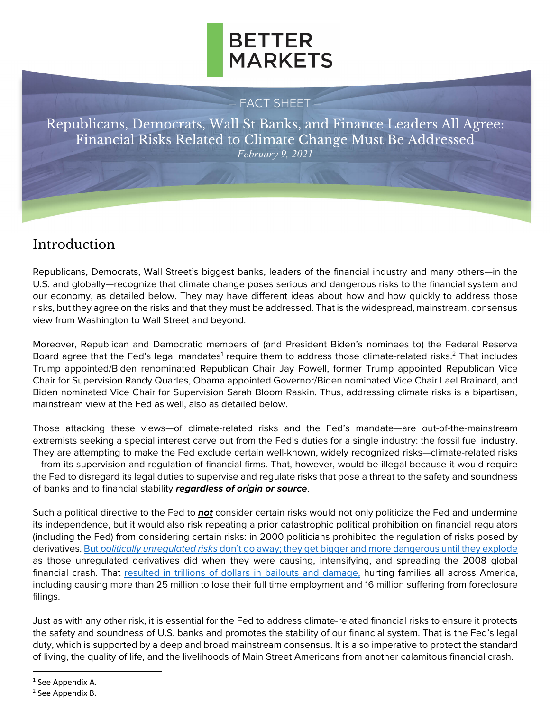

#### – FACT SHEET –

Republicans, Democrats, Wall St Banks, and Finance Leaders All Agree: Financial Risks Related to Climate Change Must Be Addressed *February 9, 2021*

## Introduction

Republicans, Democrats, Wall Street's biggest banks, leaders of the financial industry and many others—in the U.S. and globally—recognize that climate change poses serious and dangerous risks to the financial system and our economy, as detailed below. They may have different ideas about how and how quickly to address those risks, but they agree on the risks and that they must be addressed. That is the widespread, mainstream, consensus view from Washington to Wall Street and beyond.

Moreover, Republican and Democratic members of (and President Biden's nominees to) the Federal Reserve Board agree that the Fed's legal mandates<sup>1</sup> require them to address those climate-related risks.<sup>2</sup> That includes Trump appointed/Biden renominated Republican Chair Jay Powell, former Trump appointed Republican Vice Chair for Supervision Randy Quarles, Obama appointed Governor/Biden nominated Vice Chair Lael Brainard, and Biden nominated Vice Chair for Supervision Sarah Bloom Raskin. Thus, addressing climate risks is a bipartisan, mainstream view at the Fed as well, also as detailed below.

Those attacking these views—of climate-related risks and the Fed's mandate—are out-of-the-mainstream extremists seeking a special interest carve out from the Fed's duties for a single industry: the fossil fuel industry. They are attempting to make the Fed exclude certain well-known, widely recognized risks—climate-related risks —from its supervision and regulation of financial firms. That, however, would be illegal because it would require the Fed to disregard its legal duties to supervise and regulate risks that pose a threat to the safety and soundness of banks and to financial stability *regardless of origin or source*.

Such a political directive to the Fed to *not* consider certain risks would not only politicize the Fed and undermine its independence, but it would also risk repeating a prior catastrophic political prohibition on financial regulators (including the Fed) from considering certain risks: in 2000 politicians prohibited the regulation of risks posed by derivatives. But *politically unregulated risks* [don't go away; they get bigger and more dangerous until](https://bettermarkets.org/impact/dennis-kellehers-testimony-senate-banking-committee-0/) they explode as those unregulated derivatives did when they were causing, intensifying, and spreading the 2008 global financial crash. That [resulted in trillions of dollars in bailouts and damage,](https://bettermarkets.org/sites/default/files/Better%20Markets%20-%20Cost%20of%20the%20Crisis.pdf) hurting families all across America, including causing more than 25 million to lose their full time employment and 16 million suffering from foreclosure filings.

Just as with any other risk, it is essential for the Fed to address climate-related financial risks to ensure it protects the safety and soundness of U.S. banks and promotes the stability of our financial system. That is the Fed's legal duty, which is supported by a deep and broad mainstream consensus. It is also imperative to protect the standard of living, the quality of life, and the livelihoods of Main Street Americans from another calamitous financial crash.

<sup>1</sup> See Appendix A.

<sup>2</sup> See Appendix B.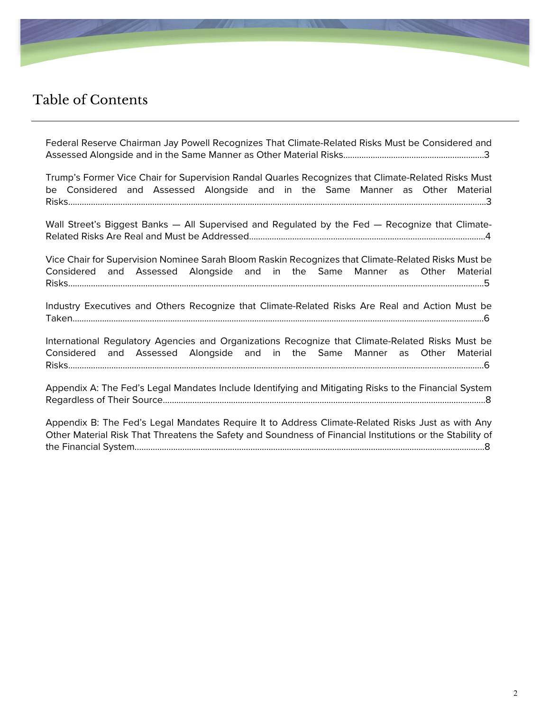

### Table of Contents

[Federal Reserve Chairman Jay Powell Recognizes That Climate-Related Risks Must be Considered and](#page-2-0)  Assessed Alongside and in the Same Manner as Other Material Risks……………………………………………………..3

[Trump's Former Vice Chair for Supervision Randal Quarles Recognizes that Climate-Related Risks Must](#page-2-0)  be Considered and Assessed Alongside and in the Same Manner as Other Material Risks………………………………………………………………………………………………………………………………………………………………….3

Wall Street's Biggest Banks — All Supervised and Regulated by the Fed — Recognize that Climate-[Related Risks Are Real and Must be Addressed………………………………………………………………………..…………………4](#page-3-0)

Vice Chair for Supervision Nominee Sarah Bloom Raskin Recognizes that Climate-Related Risks Must be [Considered and Assessed Alongside and in the Same Manner as Other Material](#page-4-0)  Risks…………………………………………………………………………………………………………………………………………………………………5

[Industry Executives and Others Recognize that Climate-Related Risks Are Real and Action Must be](#page-5-0)  Taken……………………………………………………………………………………………………………………………………………………………….6

International Regulatory Agencies and Organizations Recognize that Climate-Related Risks Must be [Considered and Assessed Alongside and in the Same Manner as Other Material](#page-5-0)  Risks……………………………………………………………………………………………………….………………………………………………………..6

[Appendix A: The Fed's Legal Mandates Include Identifying and Mitigating Risks to the Financial System](#page-7-0)  Regardless of Their Source…………………………………………………………………………………………………………….……………...8

Appendix B: The Fed's Legal Mandates Require It to Address Climate-Related Risks Just as with Any [Other Material Risk That Threatens the Safety and Soundness of Financial Institutions or the Stability of](#page-7-0)  the Financial System………………………………………………………………………………………………………………………….…….……..8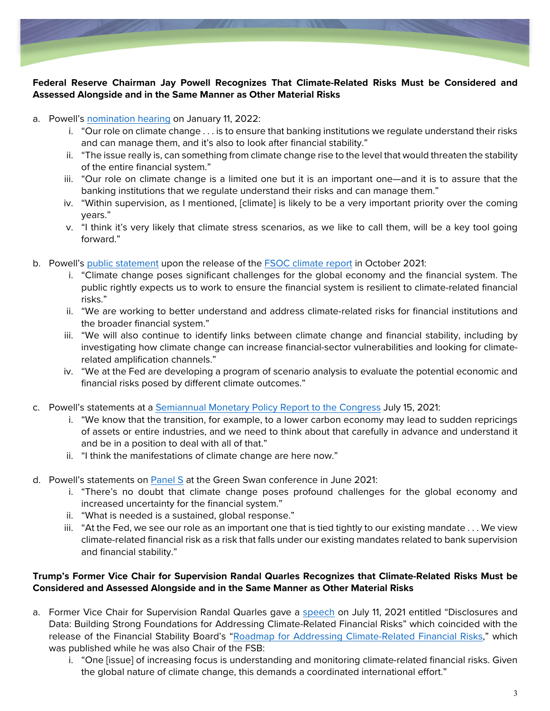<span id="page-2-0"></span>

#### **Federal Reserve Chairman Jay Powell Recognizes That Climate-Related Risks Must be Considered and Assessed Alongside and in the Same Manner as Other Material Risks**

- a. Powell's [nomination hearing](https://www.banking.senate.gov/hearings/01/04/2022/nomination-hearing) on January 11, 2022:
	- i. "Our role on climate change . . . is to ensure that banking institutions we regulate understand their risks and can manage them, and it's also to look after financial stability."
	- ii. "The issue really is, can something from climate change rise to the level that would threaten the stability of the entire financial system."
	- iii. "Our role on climate change is a limited one but it is an important one—and it is to assure that the banking institutions that we regulate understand their risks and can manage them."
	- iv. "Within supervision, as I mentioned, [climate] is likely to be a very important priority over the coming years."
	- v. "I think it's very likely that climate stress scenarios, as we like to call them, will be a key tool going forward."
- b. Powell's [public statement](https://www.federalreserve.gov/newsevents/pressreleases/other20211021c.htm) upon the release of the **FSOC climate report in October 2021**:
	- i. "Climate change poses significant challenges for the global economy and the financial system. The public rightly expects us to work to ensure the financial system is resilient to climate-related financial risks."
	- ii. "We are working to better understand and address climate-related risks for financial institutions and the broader financial system."
	- iii. "We will also continue to identify links between climate change and financial stability, including by investigating how climate change can increase financial-sector vulnerabilities and looking for climaterelated amplification channels."
	- iv. "We at the Fed are developing a program of scenario analysis to evaluate the potential economic and financial risks posed by different climate outcomes."
- c. Powell's statements at a [Semiannual Monetary Policy Report to the Congress](https://www.banking.senate.gov/hearings/07/07/2021/the-semiannual-monetary-policy-report-to-the-congress) July 15, 2021:
	- i. "We know that the transition, for example, to a lower carbon economy may lead to sudden repricings of assets or entire industries, and we need to think about that carefully in advance and understand it and be in a position to deal with all of that."
	- ii. "I think the manifestations of climate change are here now."
- d. Powell's statements on [Panel S](https://www.youtube.com/watch?v=KqssyOR8t9s) at the Green Swan conference in June 2021:
	- i. "There's no doubt that climate change poses profound challenges for the global economy and increased uncertainty for the financial system."
	- ii. "What is needed is a sustained, global response."
	- iii. "At the Fed, we see our role as an important one that is tied tightly to our existing mandate . . . We view climate-related financial risk as a risk that falls under our existing mandates related to bank supervision and financial stability."

#### **Trump's Former Vice Chair for Supervision Randal Quarles Recognizes that Climate-Related Risks Must be Considered and Assessed Alongside and in the Same Manner as Other Material Risks**

- a. Former Vice Chair for Supervision Randal Quarles gave a [speech](https://www.federalreserve.gov/newsevents/speech/quarles20210711a.htm) on July 11, 2021 entitled "Disclosures and Data: Building Strong Foundations for Addressing Climate-Related Financial Risks" which coincided with the release of the Financial Stability Board's ["Roadmap for Addressing Climate-Related Financial Risks,"](https://www.fsb.org/2021/07/fsb-roadmap-for-addressing-climate-related-financial-risks/) which was published while he was also Chair of the FSB:
	- i. "One [issue] of increasing focus is understanding and monitoring climate-related financial risks. Given the global nature of climate change, this demands a coordinated international effort."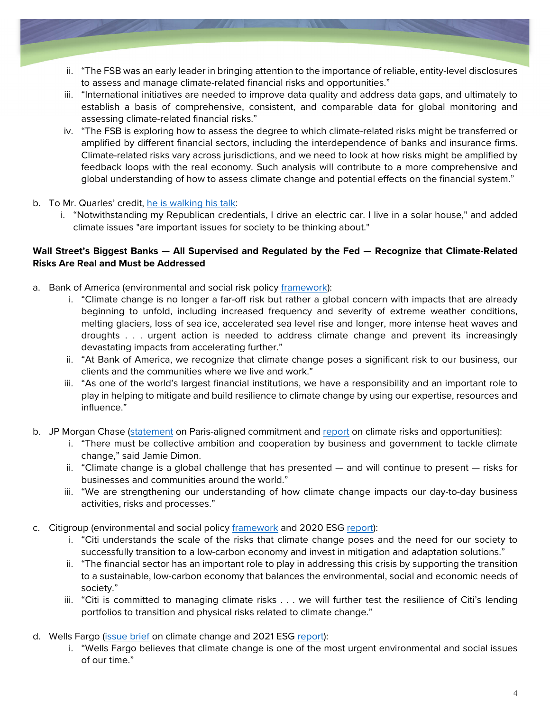- <span id="page-3-0"></span>ii. "The FSB was an early leader in bringing attention to the importance of reliable, entity-level disclosures to assess and manage climate-related financial risks and opportunities."
- iii. "International initiatives are needed to improve data quality and address data gaps, and ultimately to establish a basis of comprehensive, consistent, and comparable data for global monitoring and assessing climate-related financial risks."
- iv. "The FSB is exploring how to assess the degree to which climate-related risks might be transferred or amplified by different financial sectors, including the interdependence of banks and insurance firms. Climate-related risks vary across jurisdictions, and we need to look at how risks might be amplified by feedback loops with the real economy. Such analysis will contribute to a more comprehensive and global understanding of how to assess climate change and potential effects on the financial system."

#### b. To Mr. Quarles' credit, [he is walking his talk:](https://twitter.com/michaelsderby/status/1486013566293585920?s=27)

i. "Notwithstanding my Republican credentials, I drive an electric car. I live in a solar house," and added climate issues "are important issues for society to be thinking about."

#### **Wall Street's Biggest Banks — All Supervised and Regulated by the Fed — Recognize that Climate-Related Risks Are Real and Must be Addressed**

- a. Bank of America (environmental and social risk policy [framework\)](https://about.bankofamerica.com/content/dam/about/pdfs/environmental-and-social-risk-policy-framework-report.pdf):
	- i. "Climate change is no longer a far-off risk but rather a global concern with impacts that are already beginning to unfold, including increased frequency and severity of extreme weather conditions, melting glaciers, loss of sea ice, accelerated sea level rise and longer, more intense heat waves and droughts . . . urgent action is needed to address climate change and prevent its increasingly devastating impacts from accelerating further."
	- ii. "At Bank of America, we recognize that climate change poses a significant risk to our business, our clients and the communities where we live and work."
	- iii. "As one of the world's largest financial institutions, we have a responsibility and an important role to play in helping to mitigate and build resilience to climate change by using our expertise, resources and influence."
- b. JP Morgan Chase [\(statement](https://www.jpmorganchase.com/news-stories/jpmorgan-chase-releases-carbon-reduction-targets-for-paris-aligned-financing-commitment) on Paris-aligned commitment and [report](https://www.jpmorganchase.com/content/dam/jpmc/jpmorgan-chase-and-co/documents/jpmc-cr-climate-report-2019.pdf) on climate risks and opportunities):
	- i. "There must be collective ambition and cooperation by business and government to tackle climate change," said Jamie Dimon.
	- ii. "Climate change is a global challenge that has presented and will continue to present risks for businesses and communities around the world."
	- iii. "We are strengthening our understanding of how climate change impacts our day-to-day business activities, risks and processes."
- c. Citigroup (environmental and social policy [framework](https://www.citigroup.com/citi/sustainability/data/Environmental-and-Social-Policy-Framework.pdf) and 2020 ESG [report\)](https://www.citigroup.com/citi/about/esg/download/2020/Global-ESG-Report-2020.pdf?ieNocache=526):
	- i. "Citi understands the scale of the risks that climate change poses and the need for our society to successfully transition to a low-carbon economy and invest in mitigation and adaptation solutions."
	- ii. "The financial sector has an important role to play in addressing this crisis by supporting the transition to a sustainable, low-carbon economy that balances the environmental, social and economic needs of society."
	- iii. "Citi is committed to managing climate risks . . . we will further test the resilience of Citi's lending portfolios to transition and physical risks related to climate change."
- d. Wells Fargo [\(issue brief](https://www08.wellsfargomedia.com/assets/pdf/about/corporate-responsibility/climate-change-issue-brief.pdf) on climate change and 2021 ESG [report\)](https://www08.wellsfargomedia.com/assets/pdf/about/corporate-responsibility/environmental-social-governance-report.pdf):
	- i. "Wells Fargo believes that climate change is one of the most urgent environmental and social issues of our time."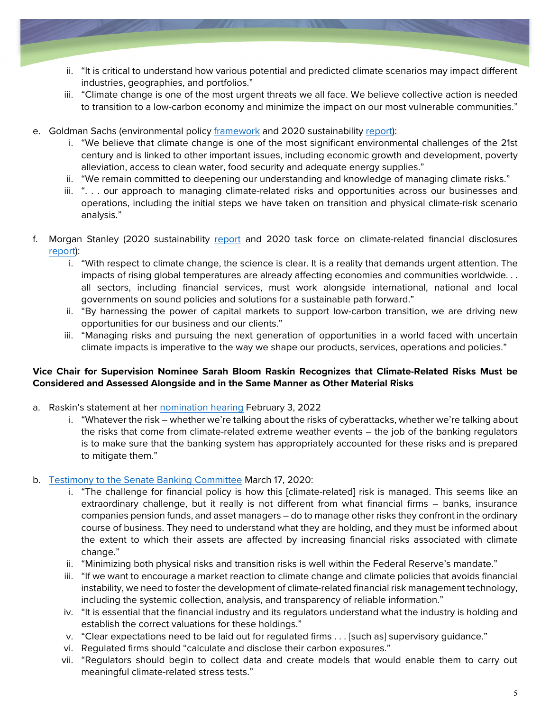- <span id="page-4-0"></span>ii. "It is critical to understand how various potential and predicted climate scenarios may impact different industries, geographies, and portfolios."
- iii. "Climate change is one of the most urgent threats we all face. We believe collective action is needed to transition to a low-carbon economy and minimize the impact on our most vulnerable communities."
- e. Goldman Sachs (environmental policy [framework](https://www.goldmansachs.com/s/environmental-policy-framework/) and 2020 sustainability [report\)](https://www.goldmansachs.com/our-commitments/sustainability/sustainable-finance/documents/reports/2020-sustainability-report.pdf?source=website):
	- i. "We believe that climate change is one of the most significant environmental challenges of the 21st century and is linked to other important issues, including economic growth and development, poverty alleviation, access to clean water, food security and adequate energy supplies."
	- ii. "We remain committed to deepening our understanding and knowledge of managing climate risks."
	- iii. ". . . our approach to managing climate-related risks and opportunities across our businesses and operations, including the initial steps we have taken on transition and physical climate-risk scenario analysis."
- f. Morgan Stanley (2020 sustainability [report](https://www.morganstanley.com/content/dam/msdotcom/sustainability/Morgan-Stanley_2020-Sustainability-Report_Final.pdf) and 2020 task force on climate-related financial disclosures [report\)](https://www.morganstanley.com/content/dam/msdotcom/en/assets/pdfs/Morgan_Stanley_TCFD_Report_2020.pdf):
	- i. "With respect to climate change, the science is clear. It is a reality that demands urgent attention. The impacts of rising global temperatures are already affecting economies and communities worldwide. . . all sectors, including financial services, must work alongside international, national and local governments on sound policies and solutions for a sustainable path forward."
	- ii. "By harnessing the power of capital markets to support low-carbon transition, we are driving new opportunities for our business and our clients."
	- iii. "Managing risks and pursuing the next generation of opportunities in a world faced with uncertain climate impacts is imperative to the way we shape our products, services, operations and policies."

#### **Vice Chair for Supervision Nominee Sarah Bloom Raskin Recognizes that Climate-Related Risks Must be Considered and Assessed Alongside and in the Same Manner as Other Material Risks**

- a. Raskin's statement at her [nomination hearing](https://www.banking.senate.gov/hearings/01/25/2022/nomination-hearing) February 3, 2022
	- i. "Whatever the risk whether we're talking about the risks of cyberattacks, whether we're talking about the risks that come from climate-related extreme weather events – the job of the banking regulators is to make sure that the banking system has appropriately accounted for these risks and is prepared to mitigate them."

#### b. [Testimony to the Senate Banking Committee](https://sites.law.duke.edu/thefinregblog/2020/03/17/testimony-of-the-honorable-sarah-bloom-raskin-before-the-senate-democrats-special-committee-on-the-climate-crisis/) March 17, 2020:

- i. "The challenge for financial policy is how this [climate-related] risk is managed. This seems like an extraordinary challenge, but it really is not different from what financial firms – banks, insurance companies pension funds, and asset managers – do to manage other risks they confront in the ordinary course of business. They need to understand what they are holding, and they must be informed about the extent to which their assets are affected by increasing financial risks associated with climate change."
- ii. "Minimizing both physical risks and transition risks is well within the Federal Reserve's mandate."
- iii. "If we want to encourage a market reaction to climate change and climate policies that avoids financial instability, we need to foster the development of climate-related financial risk management technology, including the systemic collection, analysis, and transparency of reliable information."
- iv. "It is essential that the financial industry and its regulators understand what the industry is holding and establish the correct valuations for these holdings."
- v. "Clear expectations need to be laid out for regulated firms . . . [such as] supervisory guidance."
- vi. Regulated firms should "calculate and disclose their carbon exposures."
- vii. "Regulators should begin to collect data and create models that would enable them to carry out meaningful climate-related stress tests."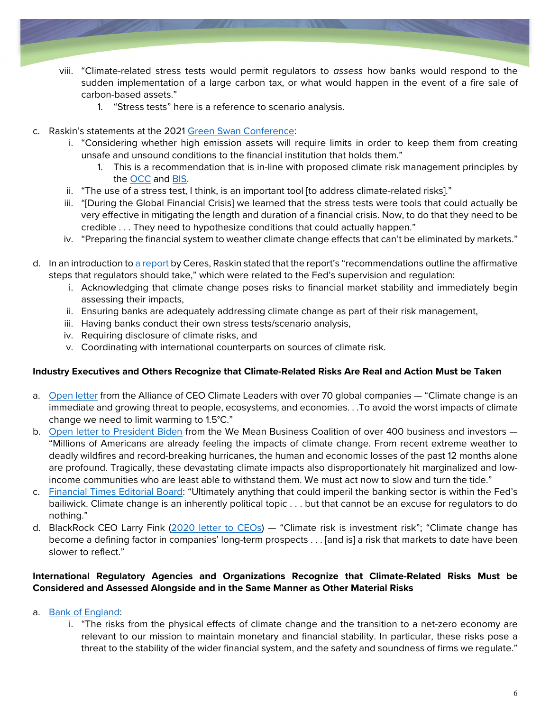- <span id="page-5-0"></span>viii. "Climate-related stress tests would permit regulators to *assess* how banks would respond to the sudden implementation of a large carbon tax, or what would happen in the event of a fire sale of carbon-based assets."
	- 1. "Stress tests" here is a reference to scenario analysis.
- c. Raskin's statements at the 2021 [Green Swan Conference:](https://www.youtube.com/watch?v=NhiWgJdiMSM)
	- i. "Considering whether high emission assets will require limits in order to keep them from creating unsafe and unsound conditions to the financial institution that holds them."
		- 1. This is a recommendation that is in-line with proposed climate risk management principles by the [OCC](https://www.occ.treas.gov/news-issuances/bulletins/2021/bulletin-2021-62a.pdf) and [BIS.](https://www.bis.org/bcbs/publ/d530.pdf)
	- ii. "The use of a stress test, I think, is an important tool [to address climate-related risks]."
	- iii. "[During the Global Financial Crisis] we learned that the stress tests were tools that could actually be very effective in mitigating the length and duration of a financial crisis. Now, to do that they need to be credible . . . They need to hypothesize conditions that could actually happen."
	- iv. "Preparing the financial system to weather climate change effects that can't be eliminated by markets."
- d. In an introduction to [a report](https://www.ceres.org/sites/default/files/reports/2020-06/Financial%20Regulators%20FULL%20FINAL.pdf) by Ceres, Raskin stated that the report's "recommendations outline the affirmative steps that regulators should take," which were related to the Fed's supervision and regulation:
	- i. Acknowledging that climate change poses risks to financial market stability and immediately begin assessing their impacts,
	- ii. Ensuring banks are adequately addressing climate change as part of their risk management,
	- iii. Having banks conduct their own stress tests/scenario analysis,
	- iv. Requiring disclosure of climate risks, and
	- v. Coordinating with international counterparts on sources of climate risk.

#### **Industry Executives and Others Recognize that Climate-Related Risks Are Real and Action Must be Taken**

- a. [Open letter](https://www.weforum.org/agenda/2021/06/supercharging-public-private-efforts-in-the-race-to-net-zero-and-climate-resilience) from the Alliance of CEO Climate Leaders with over 70 global companies "Climate change is an immediate and growing threat to people, ecosystems, and economies. . .To avoid the worst impacts of climate change we need to limit warming to 1.5°C."
- b. [Open letter to President Biden](https://www.wemeanbusinesscoalition.org/ambitious-u-s-2030-ndc/) from the We Mean Business Coalition of over 400 business and investors "Millions of Americans are already feeling the impacts of climate change. From recent extreme weather to deadly wildfires and record-breaking hurricanes, the human and economic losses of the past 12 months alone are profound. Tragically, these devastating climate impacts also disproportionately hit marginalized and lowincome communities who are least able to withstand them. We must act now to slow and turn the tide."
- c. [Financial Times Editorial Board:](https://www.ft.com/content/09450283-c701-4cf7-b889-69837c7ebbdd) "Ultimately anything that could imperil the banking sector is within the Fed's bailiwick. Climate change is an inherently political topic . . . but that cannot be an excuse for regulators to do nothing."
- d. BlackRock CEO Larry Fink ([2020 letter to CEOs](https://www.blackrock.com/corporate/investor-relations/2020-larry-fink-ceo-letter)) "Climate risk is investment risk"; "Climate change has become a defining factor in companies' long-term prospects . . . [and is] a risk that markets to date have been slower to reflect."

#### **International Regulatory Agencies and Organizations Recognize that Climate-Related Risks Must be Considered and Assessed Alongside and in the Same Manner as Other Material Risks**

- a. [Bank of England:](https://www.bankofengland.co.uk/climate-change)
	- i. "The risks from the physical effects of climate change and the transition to a net-zero economy are relevant to our mission to maintain monetary and financial stability. In particular, these risks pose a threat to the stability of the wider financial system, and the safety and soundness of firms we regulate."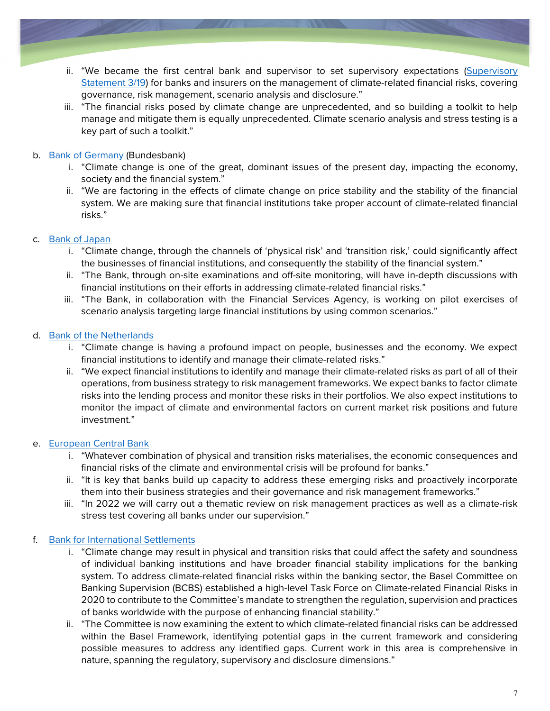- ii. "We became the first central bank and supervisor to set supervisory expectations ([Supervisory](https://www.bankofengland.co.uk/prudential-regulation/publication/2019/enhancing-banks-and-insurers-approaches-to-managing-the-financial-risks-from-climate-change-ss)  [Statement 3/19\)](https://www.bankofengland.co.uk/prudential-regulation/publication/2019/enhancing-banks-and-insurers-approaches-to-managing-the-financial-risks-from-climate-change-ss) for banks and insurers on the management of climate-related financial risks, covering governance, risk management, scenario analysis and disclosure."
- iii. "The financial risks posed by climate change are unprecedented, and so building a toolkit to help manage and mitigate them is equally unprecedented. Climate scenario analysis and stress testing is a key part of such a toolkit."

#### b. [Bank of Germany](https://www.bundesbank.de/en/bundesbank/green-finance) (Bundesbank)

- i. "Climate change is one of the great, dominant issues of the present day, impacting the economy, society and the financial system."
- ii. "We are factoring in the effects of climate change on price stability and the stability of the financial system. We are making sure that financial institutions take proper account of climate-related financial risks."

#### c. [Bank of Japan](https://www.boj.or.jp/en/announcements/release_2021/rel210716b.pdf)

- i. "Climate change, through the channels of 'physical risk' and 'transition risk,' could significantly affect the businesses of financial institutions, and consequently the stability of the financial system."
- ii. "The Bank, through on-site examinations and off-site monitoring, will have in-depth discussions with financial institutions on their efforts in addressing climate-related financial risks."
- iii. "The Bank, in collaboration with the Financial Services Agency, is working on pilot exercises of scenario analysis targeting large financial institutions by using common scenarios."

#### d. [Bank of the Netherlands](https://www.dnb.nl/en/green-economy/climate-change/)

- i. "Climate change is having a profound impact on people, businesses and the economy. We expect financial institutions to identify and manage their climate-related risks."
- ii. "We expect financial institutions to identify and manage their climate-related risks as part of all of their operations, from business strategy to risk management frameworks. We expect banks to factor climate risks into the lending process and monitor these risks in their portfolios. We also expect institutions to monitor the impact of climate and environmental factors on current market risk positions and future investment."

#### e. [European Central Bank](https://www.bankingsupervision.europa.eu/press/blog/2021/html/ssm.blog211207~9095f6f1fd.en.html)

- i. "Whatever combination of physical and transition risks materialises, the economic consequences and financial risks of the climate and environmental crisis will be profound for banks."
- ii. "It is key that banks build up capacity to address these emerging risks and proactively incorporate them into their business strategies and their governance and risk management frameworks."
- iii. "In 2022 we will carry out a thematic review on risk management practices as well as a climate-risk stress test covering all banks under our supervision."

#### f. [Bank for International Settlements](https://www.bis.org/topic/green_finance.htm)

- i. "Climate change may result in physical and transition risks that could affect the safety and soundness of individual banking institutions and have broader financial stability implications for the banking system. To address climate-related financial risks within the banking sector, the Basel Committee on Banking Supervision (BCBS) established a high-level Task Force on Climate-related Financial Risks in 2020 to contribute to the Committee's mandate to strengthen the regulation, supervision and practices of banks worldwide with the purpose of enhancing financial stability."
- ii. "The Committee is now examining the extent to which climate-related financial risks can be addressed within the Basel Framework, identifying potential gaps in the current framework and considering possible measures to address any identified gaps. Current work in this area is comprehensive in nature, spanning the regulatory, supervisory and disclosure dimensions."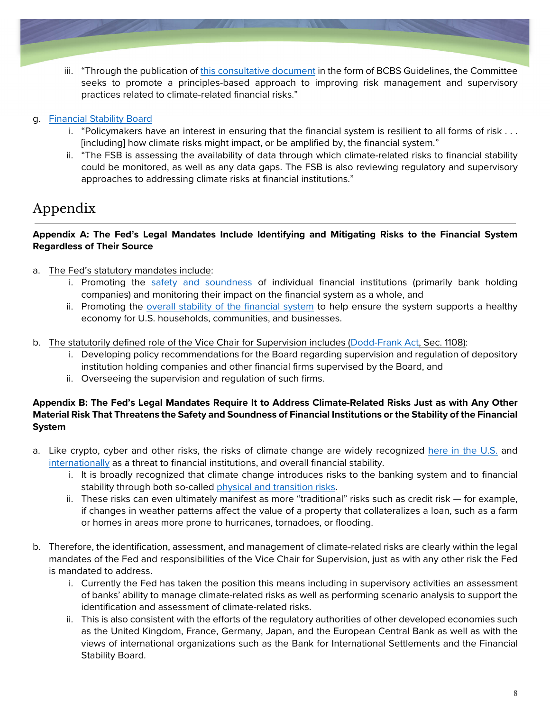<span id="page-7-0"></span>iii. "Through the publication of [this consultative document](https://www.bis.org/bcbs/publ/d530.pdf) in the form of BCBS Guidelines, the Committee seeks to promote a principles-based approach to improving risk management and supervisory practices related to climate-related financial risks."

#### g. [Financial Stability Board](https://www.fsb.org/work-of-the-fsb/financial-innovation-and-structural-change/climate-related-risks/)

- i. "Policymakers have an interest in ensuring that the financial system is resilient to all forms of risk . . . [including] how climate risks might impact, or be amplified by, the financial system."
- ii. "The FSB is assessing the availability of data through which climate-related risks to financial stability could be monitored, as well as any data gaps. The FSB is also reviewing regulatory and supervisory approaches to addressing climate risks at financial institutions."

## Appendix

#### **Appendix A: The Fed's Legal Mandates Include Identifying and Mitigating Risks to the Financial System Regardless of Their Source**

- a. The Fed's statutory mandates include:
	- i. Promoting the [safety and soundness](https://www.federalreserve.gov/aboutthefed/files/the-fed-explained.pdf#page=66) of individual financial institutions (primarily bank holding companies) and monitoring their impact on the financial system as a whole, and
	- ii. Promoting the [overall stability of the financial system](https://www.federalreserve.gov/aboutthefed/files/the-fed-explained.pdf#page=50) to help ensure the system supports a healthy economy for U.S. households, communities, and businesses.
- b. The statutorily defined role of the Vice Chair for Supervision includes [\(Dodd-Frank Act,](https://www.govinfo.gov/content/pkg/PLAW-111publ203/pdf/PLAW-111publ203.pdf) Sec. 1108):
	- i. Developing policy recommendations for the Board regarding supervision and regulation of depository institution holding companies and other financial firms supervised by the Board, and
	- ii. Overseeing the supervision and regulation of such firms.

#### **Appendix B: The Fed's Legal Mandates Require It to Address Climate-Related Risks Just as with Any Other Material Risk That Threatens the Safety and Soundness of Financial Institutions or the Stability of the Financial System**

- a. Like crypto, cyber and other risks, the risks of climate change are widely recognized [here in the U.S.](https://home.treasury.gov/news/press-releases/jy0426) and [internationally](https://www.bis.org/topic/green_finance.htm) as a threat to financial institutions, and overall financial stability.
	- i. It is broadly recognized that climate change introduces risks to the banking system and to financial stability through both so-called [physical and transition risks.](https://www.bis.org/bcbs/publ/d517.pdf)
	- ii. These risks can even ultimately manifest as more "traditional" risks such as credit risk for example, if changes in weather patterns affect the value of a property that collateralizes a loan, such as a farm or homes in areas more prone to hurricanes, tornadoes, or flooding.
- b. Therefore, the identification, assessment, and management of climate-related risks are clearly within the legal mandates of the Fed and responsibilities of the Vice Chair for Supervision, just as with any other risk the Fed is mandated to address.
	- i. Currently the Fed has taken the position this means including in supervisory activities an assessment of banks' ability to manage climate-related risks as well as performing scenario analysis to support the identification and assessment of climate-related risks.
	- ii. This is also consistent with the efforts of the regulatory authorities of other developed economies such as the United Kingdom, France, Germany, Japan, and the European Central Bank as well as with the views of international organizations such as the Bank for International Settlements and the Financial Stability Board.